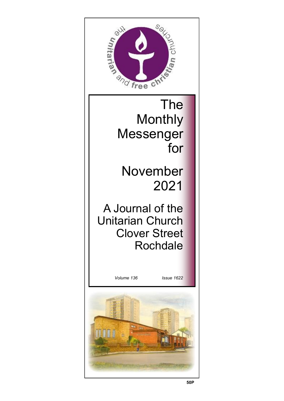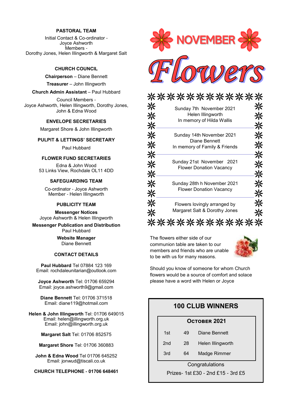#### **PASTORAL TEAM**

Initial Contact & Co-ordinator - Joyce Ashworth Members - Dorothy Jones, Helen Illingworth & Margaret Salt

#### **CHURCH COUNCIL**

**Chairperson** – Diane Bennett

**Treasurer** – John Illingworth

#### **Church Admin Assistant** – Paul Hubbard

Council Members - Joyce Ashworth, Helen Illingworth, Dorothy Jones, John & Edna Wood

#### **ENVELOPE SECRETARIES**

Margaret Shore & John Illingworth

#### **PULPIT & LETTINGS' SECRETARY**

Paul Hubbard

#### **FLOWER FUND SECRETARIES**

Edna & John Wood 53 Links View, Rochdale OL11 4DD

#### **SAFEGUARDING TEAM**

Co-ordinator - Joyce Ashworth Member - Helen Illingworth

#### **PUBLICITY TEAM**

**Messenger Notices** Joyce Ashworth & Helen Illingworth

**Messenger Publication and Distribution** Paul Hubbard

> **Website Manager**  Diane Bennett

#### **CONTACT DETAILS**

**Paul Hubbard** Tel 07884 123 169 Email: rochdaleunitarian@outlook.com

**Joyce Ashworth** Tel: 01706 659294 Email: joyce.ashworth9@gmail.com

**Diane Bennett** Tel: 01706 371518 Email: diane119@hotmail.com

**Helen & John Illingworth** Tel: 01706 649015 Email: helen@illingworth.org.uk Email: john@illingworth.org.uk

**Margaret Salt** Tel: 01706 852575

**Margaret Shore** Tel: 01706 360883

**John & Edna Wood** Tel 01706 645252 Email: jonwud@tiscali.co.uk

**CHURCH TELEPHONE - 01706 648461**



| · 米米米米米米米                                                                   |  |
|-----------------------------------------------------------------------------|--|
| Sunday 7th November 2021<br>Helen Illingworth<br>In memory of Hilda Wallis  |  |
| Sunday 14th November 2021<br>Diane Bennett<br>In memory of Family & Friends |  |
| Sunday 21st November 2021<br><b>Flower Donation Vacancy</b>                 |  |
| Sunday 28th h November 2021<br><b>Flower Donation Vacancy</b>               |  |
| Flowers lovingly arranged by<br>Margaret Salt & Dorothy Jones               |  |
|                                                                             |  |

The flowers either side of our communion table are taken to our members and friends who are unable to be with us for many reasons.



Should you know of someone for whom Church flowers would be a source of comfort and solace please have a word with Helen or Joyce

#### **100 CLUB WINNERS**

#### **October 2021**

| 1st | 49 | Diane Bennett |
|-----|----|---------------|
|-----|----|---------------|

- 2nd 28 Helen Illingworth
- 3rd 64 Madge Rimmer

**Congratulations** 

Prizes- 1st £30 - 2nd £15 *-* 3rd £5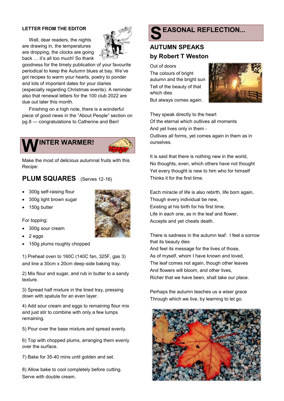#### **LETTER FROM THE EDITOR**

Well, dear readers, the nights are drawing in, the temperatures are dropping, the clocks are going back … it's all too much! So thank



goodness for the timely publication of your favourite periodical to keep the Autumn blues at bay. We've got recipes to warm your hearts, poetry to ponder and lots of important dates for your diaries (especially regarding Christmas events). A reminder also that renewal letters for the 100 club 2022 are due out later this month.

Finishing on a high note, there is a wonderful piece of good news in the "About People" section on pg 8 — congratulations to Catherine and Ben!



Make the most of delicious autumnal fruits with this Recipe:

#### **PLUM SQUARES** (Serves 12-16)

- 300g self-raising flour
- 300g light brown sugar
- 150g butter



#### For topping:

- 300g sour cream
- 2 eggs
- 150g plums roughly chopped

1) Preheat oven to 160C (140C fan, 325F, gas 3) and line a 30cm x 20cm deep-side baking tray.

2) Mix flour and sugar, and rub in butter to a sandy texture.

3) Spread half mixture in the lined tray, pressing down with spatula for an even layer.

4) Add sour cream and eggs to remaining flour mix and just stir to combine with only a few lumps remaining.

5) Pour over the base mixture and spread evenly.

6) Top with chopped plums, arranging them evenly over the surface.

7) Bake for 35-40 mins until golden and set.

8) Allow bake to cool completely before cutting. Serve with double cream.

## **S EASONAL REFLECTION...**

## **AUTUMN SPEAKS by Robert T Weston**

Out of doors The colours of bright autumn and the bright sun Tell of the beauty of that which dies But always comes again.



They speak directly to the heart Of the eternal which outlives all moments And yet lives only in them - Outlives all forms, yet comes again in them as in ourselves.

It is said that there is nothing new in the world, No thoughts, even, which others have not thought Yet every thought is new to him who for himself Thinks it for the first time.

Each miracle of life is also rebirth, life born again, Though every individual be new, Existing at his birth for his first time. Life in each one, as in the leaf and flower, Accepts and yet cheats death.

There is sadness in the autumn leaf: I feel a sorrow that its beauty dies And feel its message for the lives of those, As of myself, whom I have known and loved. The leaf comes not again, though other leaves And flowers will bloom, and other lives, Richer that we have been, shall take our place.

Perhaps the autumn teaches us a wiser grace Through which we live, by learning to let go.

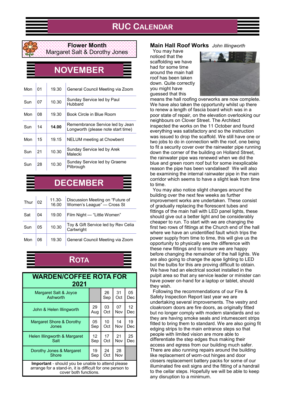





#### **Flower Month** Margaret Salt & Dorothy Jones

## **NOVEMBER**

| Mon | 01 | 19.30 | General Council Meeting via Zoom                                      |
|-----|----|-------|-----------------------------------------------------------------------|
| Sun | 07 | 10.30 | Sunday Service led by Paul<br><b>Hubbard</b>                          |
| Mon | 08 | 19.30 | Book Circle in Blue Room                                              |
| Sun | 14 | 14.00 | Remembrance Service led by Jean<br>Longworth (please note start time) |
| Mon | 15 | 19.15 | <b>NELUM</b> meeting at Chowbent                                      |
| Sun | 21 | 10.30 | Sunday Service led by Arek<br>Malecki                                 |
| Sun | 28 | 10.30 | Sunday Service led by Graeme<br>Pilbrough                             |

# **DECEMBER**

| Thur | 02 | 11.30-<br>16.00 | Discussion Meeting on "Future of<br>Women's League" - Cross St |
|------|----|-----------------|----------------------------------------------------------------|
| Sat  | 04 | 19.00           | Film Night - "Little Women"                                    |
| Sun  | 05 | 10.30           | Toy & Gift Service led by Rev Celia<br>Cartwright              |
| Mon  | 06 | 19.30           | General Council Meeting via Zoom                               |

# **ROTA**

| <b>WARDEN/COFFEE ROTA FOR</b><br>2021                                                                                                   |     |     |     |     |
|-----------------------------------------------------------------------------------------------------------------------------------------|-----|-----|-----|-----|
| Margaret Salt & Joyce                                                                                                                   |     | 26  | 31  | 05  |
| Ashworth                                                                                                                                |     | Sep | Oct | Dec |
| John & Helen Illingworth                                                                                                                | 29  | 03  | 07  | 12  |
|                                                                                                                                         | Aug | Oct | Nov | Dec |
| Margaret Shore & Dorothy                                                                                                                | 05  | 10  | 14  | 19  |
| Jones                                                                                                                                   | Sep | Oct | Nov | Dec |
| Helen Illingworth & Margaret                                                                                                            | 12  | 17  | 21  | 25  |
| Salt                                                                                                                                    | Sep | Oct | Nov | Dec |
| Dorothy Jones & Margaret                                                                                                                | 19  | 24  | 28  |     |
| Shore                                                                                                                                   | Sep | Oct | Nov |     |
| Important - should you be unable to attend please<br>arrange for a stand-in, it is difficult for one person to<br>cover both functions. |     |     |     |     |

#### **Main Hall Roof Works** *John Illingworth*

You may have noticed that the scaffolding we have had for some time around the main hall roof has been taken down. Quite correctly you might have guessed that this



means the hall roofing overworks are now complete. We have also taken the opportunity whilst up there to renew a length of fascia board which was in a poor state of repair, on the elevation overlooking our neighbours on Clover Street. The Architect inspected the works on the 11 October and found everything was satisfactory and so the instruction was issued to drop the scaffold. We still have one or two jobs to do in connection with the roof, one being to fit a security cover over the rainwater pipe running down the corner of the building on Holland Street, the rainwater pipe was renewed when we did the blue and green room roof but for some inexplicable reason the pipe has been vandalised! We will also be examining the internal rainwater pipe in the main corridor which seems to have a slight leak from time to time.

You may also notice slight changes around the building over the next few weeks as further improvement works are undertaken. These consist of gradually replacing the florescent tubes and fittings of the main hall with LED panel lights, these should give out a better light and be considerably cheaper to run. To start with we are changing the first two rows of fittings at the Church end of the hall where we have an unidentified fault which trips the power supply from time to time, this will give us the opportunity to physically see the difference with these new fittings and to ensure we are happy before changing the remainder of the hall lights. We are also going to change the apse lighting to LED but the bulbs for this are proving difficult to obtain. We have had an electrical socket installed in the pulpit area so that any service leader or minister can have power on-hand for a laptop or tablet, should they wish.

Following the recommendations of our Fire & Safety Inspection Report last year we are undertaking several improvements. The vestry and cloakroom doors are fire doors, as originally fitted but no longer comply with modern standards and so they are having smoke seals and intumescent strips fitted to bring them to standard. We are also going fit edging strips to the main entrance steps so that people with limited vision are more able to differentiate the step edges thus making their access and egress from our building much safer. There are also running repairs around the building like replacement of worn-out hinges and door closers replacement battery packs for some of our illuminated fire exit signs and the fitting of a handrail to the cellar steps. Hopefully we will be able to keep any disruption to a minimum.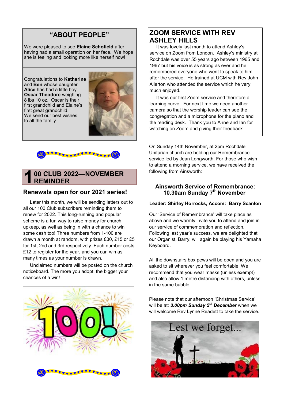### **"ABOUT PEOPLE"**

We were pleased to see **Elaine Schofield** after having had a small operation on her face. We hope she is feeling and looking more like herself now!

Congratulations to **Katherine** and **Ben** whose daughter **Alice** has had a little boy **Oscar Theodore** weighing 8 lbs 10 oz. Oscar is their first grandchild and Elaine's first great grandchild. We send our best wishes to all the family.





#### **1 00 CLUB 2022—NOVEMBER REMINDER**

#### **Renewals open for our 2021 series!**

Later this month, we will be sending letters out to all our 100 Club subscribers reminding them to renew for 2022. This long-running and popular scheme is a fun way to raise money for church upkeep, as well as being in with a chance to win some cash too! Three numbers from 1-100 are drawn a month at random, with prizes £30, £15 or £5 for 1st, 2nd and 3rd respectively. Each number costs £12 to register for the year, and you can win as many times as your number is drawn.

Unclaimed numbers will be posted on the church noticeboard. The more you adopt, the bigger your chances of a win!



### **ZOOM SERVICE WITH REV ASHLEY HILLS**

It was lovely last month to attend Ashley's service on Zoom from London. Ashley's ministry at Rochdale was over 55 years ago between 1965 and 1967 but his voice is as strong as ever and he remembered everyone who went to speak to him after the service. He trained at UCM with Rev John Allerton who attended the service which he very much enjoyed.

It was our first Zoom service and therefore a learning curve. For next time we need another camera so that the worship leader can see the congregation and a microphone for the piano and the reading desk. Thank you to Anne and Ian for watching on Zoom and giving their feedback.

On Sunday 14th November, at 2pm Rochdale Unitarian church are holding our Remembrance service led by Jean Longworth. For those who wish to attend a morning service, we have received the following from Ainsworth:

#### **Ainsworth Service of Remembrance: 10.30am Sunday 7 th November**

#### **Leader: Shirley Horrocks, Accom: Barry Scanlon**

Our 'Service of Remembrance' will take place as above and we warmly invite you to attend and join in our service of commemoration and reflection. Following last year's success, we are delighted that our Organist, Barry, will again be playing his Yamaha Keyboard.

All the downstairs box pews will be open and you are asked to sit wherever you feel comfortable. We recommend that you wear masks (unless exempt) and also allow 1 metre distancing with others, unless in the same bubble.

Please note that our afternoon 'Christmas Service' will be at: *3.00pm Sunday 5th December* when we will welcome Rev Lynne Readett to take the service.

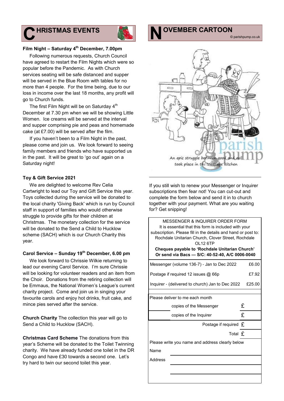## **OF HRISTMAS EVENTS HRISTMAS EVENTS**



**N**

#### **Film Night – Saturday 4th December, 7.00pm**

Following numerous requests, Church Council have agreed to restart the Film Nights which were so popular before the Pandemic. As with Church services seating will be safe distanced and supper will be served in the Blue Room with tables for no more than 4 people. For the time being, due to our loss in income over the last 18 months, any profit will go to Church funds.

The first Film Night will be on Saturday  $4<sup>th</sup>$ December at 7.30 pm when we will be showing Little Women. Ice creams will be served at the interval and supper comprising pie and peas and homemade cake (at £7.00) will be served after the film.

If you haven't been to a Film Night in the past, please come and join us. We look forward to seeing family members and friends who have supported us in the past. It will be great to 'go out' again on a Saturday night!

#### **Toy & Gift Service 2021**

We are delighted to welcome Rev Celia Cartwright to lead our Toy and Gift Service this year. Toys collected during the service will be donated to the local charity 'Giving Back' which is run by Council staff in support of families who would otherwise struggle to provide gifts for their children at Christmas. The monetary collection for the service will be donated to the Send a Child to Hucklow scheme (SACH) which is our Church Charity this year.

#### **Carol Service – Sunday 19th December, 6.00 pm**

We look forward to Chrissie Wilkie returning to lead our evening Carol Service. I'm sure Chrissie will be looking for volunteer readers and an item from the Choir. Donations from the retiring collection will be Emmaus, the National Women's League's current charity project. Come and join us in singing your favourite carols and enjoy hot drinks, fruit cake, and mince pies served after the service.

**Church Charity** The collection this year will go to Send a Child to Hucklow (SACH).

**Christmas Card Scheme** The donations from this year's Scheme will be donated to the Toilet Twinning charity. We have already funded one toilet in the DR Congo and have £30 towards a second one. Let's try hard to twin our second toilet this year.

An epic struggle between took place in the Vieas age kitcher

If you still wish to renew your Messenger or Inquirer subscriptions then fear not! You can cut-out and complete the form below and send it in to church together with your payment. What are you waiting for? Get snipping!

MESSENGER & INQUIRER ORDER FORM It is essential that this form is included with your subscription. Please fill in the details and hand or post to: Rochdale Unitarian Church, Clover Street, Rochdale OL12 6TP **Cheques payable to 'Rochdale Unitarian Church' Or send via Bacs — S/C: 40-52-40, A/C 0006-0040** Messenger (volume 136-7) - Jan to Dec 2022 £6.00 Postage if required 12 issues @ 66p <br>E7.92 Inquirer - (delivered to church) Jan to Dec 2022 £25.00 Please deliver to me each month copies of the Messenger  $\mathbf f$ copies of the Inquirer  $\mathbf f$ Postage if required  $f$ Total £ Please write you name and address clearly below Name Address